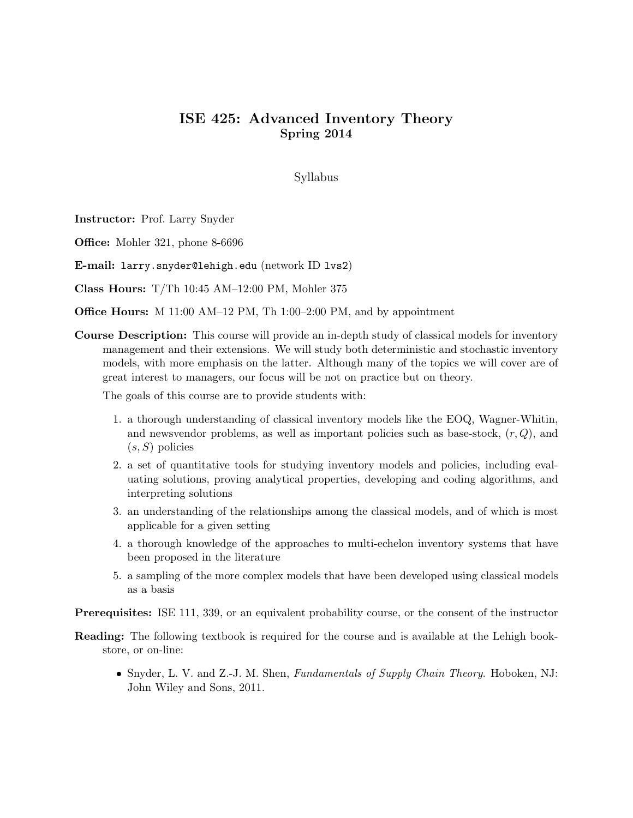# ISE 425: Advanced Inventory Theory Spring 2014

Syllabus

Instructor: Prof. Larry Snyder

**Office:** Mohler 321, phone 8-6696

E-mail: larry.snyder@lehigh.edu (network ID lvs2)

Class Hours: T/Th 10:45 AM–12:00 PM, Mohler 375

Office Hours: M 11:00 AM–12 PM, Th 1:00–2:00 PM, and by appointment

Course Description: This course will provide an in-depth study of classical models for inventory management and their extensions. We will study both deterministic and stochastic inventory models, with more emphasis on the latter. Although many of the topics we will cover are of great interest to managers, our focus will be not on practice but on theory.

The goals of this course are to provide students with:

- 1. a thorough understanding of classical inventory models like the EOQ, Wagner-Whitin, and newsvendor problems, as well as important policies such as base-stock,  $(r, Q)$ , and  $(s, S)$  policies
- 2. a set of quantitative tools for studying inventory models and policies, including evaluating solutions, proving analytical properties, developing and coding algorithms, and interpreting solutions
- 3. an understanding of the relationships among the classical models, and of which is most applicable for a given setting
- 4. a thorough knowledge of the approaches to multi-echelon inventory systems that have been proposed in the literature
- 5. a sampling of the more complex models that have been developed using classical models as a basis

Prerequisites: ISE 111, 339, or an equivalent probability course, or the consent of the instructor

- Reading: The following textbook is required for the course and is available at the Lehigh bookstore, or on-line:
	- Snyder, L. V. and Z.-J. M. Shen, *Fundamentals of Supply Chain Theory*. Hoboken, NJ: John Wiley and Sons, 2011.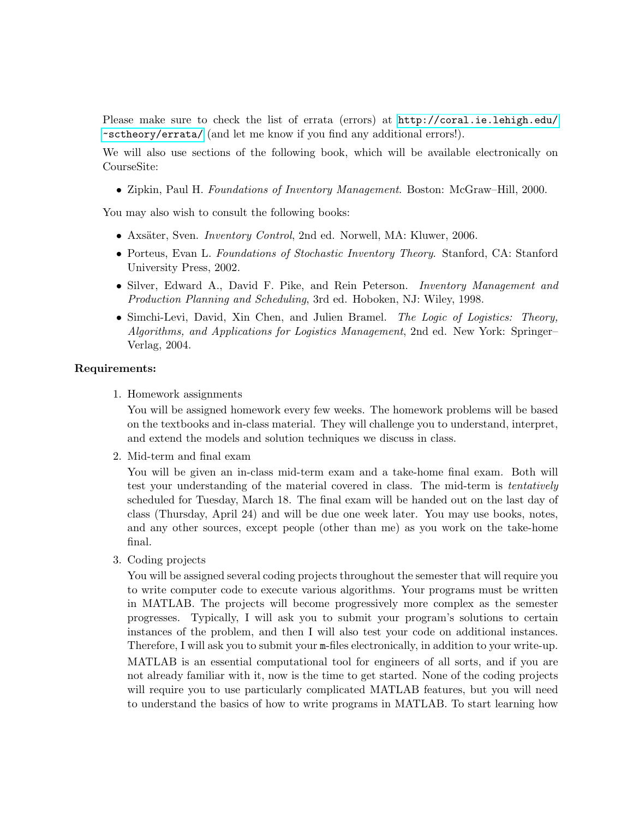Please make sure to check the list of errata (errors) at [http://coral.ie.lehigh.edu/](http://coral.ie.lehigh.edu/~sctheory/errata/) [~sctheory/errata/](http://coral.ie.lehigh.edu/~sctheory/errata/) (and let me know if you find any additional errors!).

We will also use sections of the following book, which will be available electronically on CourseSite:

• Zipkin, Paul H. Foundations of Inventory Management. Boston: McGraw–Hill, 2000.

You may also wish to consult the following books:

- Axsäter, Sven. *Inventory Control*, 2nd ed. Norwell, MA: Kluwer, 2006.
- Porteus, Evan L. Foundations of Stochastic Inventory Theory. Stanford, CA: Stanford University Press, 2002.
- Silver, Edward A., David F. Pike, and Rein Peterson. Inventory Management and Production Planning and Scheduling, 3rd ed. Hoboken, NJ: Wiley, 1998.
- Simchi-Levi, David, Xin Chen, and Julien Bramel. The Logic of Logistics: Theory, Algorithms, and Applications for Logistics Management, 2nd ed. New York: Springer– Verlag, 2004.

## Requirements:

1. Homework assignments

You will be assigned homework every few weeks. The homework problems will be based on the textbooks and in-class material. They will challenge you to understand, interpret, and extend the models and solution techniques we discuss in class.

2. Mid-term and final exam

You will be given an in-class mid-term exam and a take-home final exam. Both will test your understanding of the material covered in class. The mid-term is tentatively scheduled for Tuesday, March 18. The final exam will be handed out on the last day of class (Thursday, April 24) and will be due one week later. You may use books, notes, and any other sources, except people (other than me) as you work on the take-home final.

3. Coding projects

You will be assigned several coding projects throughout the semester that will require you to write computer code to execute various algorithms. Your programs must be written in MATLAB. The projects will become progressively more complex as the semester progresses. Typically, I will ask you to submit your program's solutions to certain instances of the problem, and then I will also test your code on additional instances. Therefore, I will ask you to submit your m-files electronically, in addition to your write-up. MATLAB is an essential computational tool for engineers of all sorts, and if you are not already familiar with it, now is the time to get started. None of the coding projects will require you to use particularly complicated MATLAB features, but you will need to understand the basics of how to write programs in MATLAB. To start learning how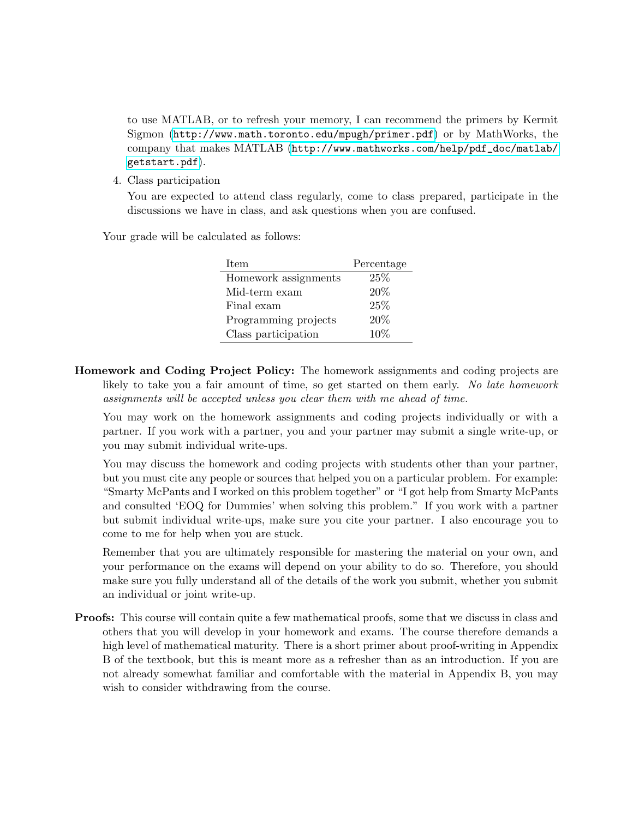to use MATLAB, or to refresh your memory, I can recommend the primers by Kermit Sigmon (<http://www.math.toronto.edu/mpugh/primer.pdf>) or by MathWorks, the company that makes MATLAB ([http://www.mathworks.com/help/pdf\\_doc/matlab/](http://www.mathworks.com/help/pdf_doc/matlab/getstart.pdf) [getstart.pdf](http://www.mathworks.com/help/pdf_doc/matlab/getstart.pdf)).

4. Class participation

You are expected to attend class regularly, come to class prepared, participate in the discussions we have in class, and ask questions when you are confused.

Your grade will be calculated as follows:

| <b>Item</b>          | Percentage |
|----------------------|------------|
| Homework assignments | 25%        |
| Mid-term exam        | $20\%$     |
| Final exam           | 25%        |
| Programming projects | $20\%$     |
| Class participation  | $10\%$     |
|                      |            |

Homework and Coding Project Policy: The homework assignments and coding projects are likely to take you a fair amount of time, so get started on them early. No late homework assignments will be accepted unless you clear them with me ahead of time.

You may work on the homework assignments and coding projects individually or with a partner. If you work with a partner, you and your partner may submit a single write-up, or you may submit individual write-ups.

You may discuss the homework and coding projects with students other than your partner, but you must cite any people or sources that helped you on a particular problem. For example: "Smarty McPants and I worked on this problem together" or "I got help from Smarty McPants and consulted 'EOQ for Dummies' when solving this problem." If you work with a partner but submit individual write-ups, make sure you cite your partner. I also encourage you to come to me for help when you are stuck.

Remember that you are ultimately responsible for mastering the material on your own, and your performance on the exams will depend on your ability to do so. Therefore, you should make sure you fully understand all of the details of the work you submit, whether you submit an individual or joint write-up.

**Proofs:** This course will contain quite a few mathematical proofs, some that we discuss in class and others that you will develop in your homework and exams. The course therefore demands a high level of mathematical maturity. There is a short primer about proof-writing in Appendix B of the textbook, but this is meant more as a refresher than as an introduction. If you are not already somewhat familiar and comfortable with the material in Appendix B, you may wish to consider withdrawing from the course.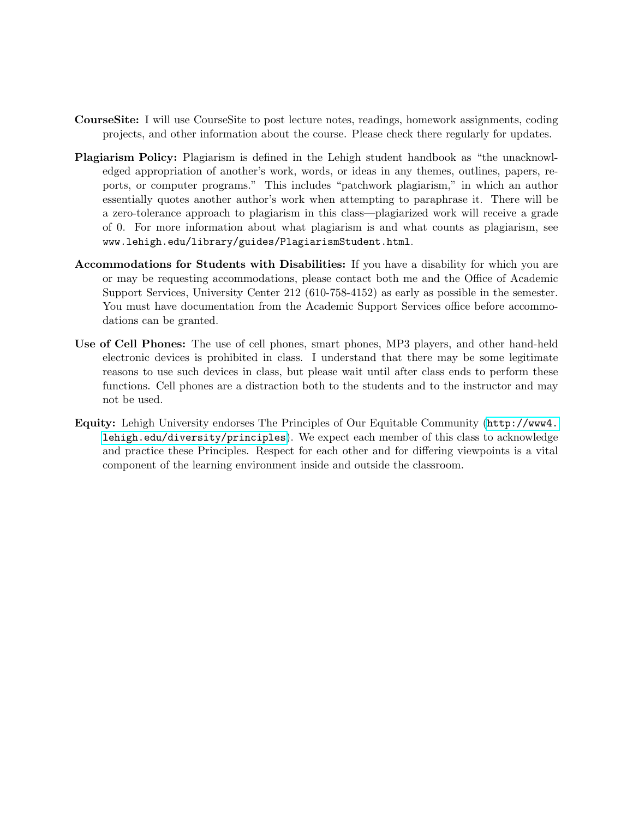- CourseSite: I will use CourseSite to post lecture notes, readings, homework assignments, coding projects, and other information about the course. Please check there regularly for updates.
- Plagiarism Policy: Plagiarism is defined in the Lehigh student handbook as "the unacknowledged appropriation of another's work, words, or ideas in any themes, outlines, papers, reports, or computer programs." This includes "patchwork plagiarism," in which an author essentially quotes another author's work when attempting to paraphrase it. There will be a zero-tolerance approach to plagiarism in this class—plagiarized work will receive a grade of 0. For more information about what plagiarism is and what counts as plagiarism, see www.lehigh.edu/library/guides/PlagiarismStudent.html.
- Accommodations for Students with Disabilities: If you have a disability for which you are or may be requesting accommodations, please contact both me and the Office of Academic Support Services, University Center 212 (610-758-4152) as early as possible in the semester. You must have documentation from the Academic Support Services office before accommodations can be granted.
- Use of Cell Phones: The use of cell phones, smart phones, MP3 players, and other hand-held electronic devices is prohibited in class. I understand that there may be some legitimate reasons to use such devices in class, but please wait until after class ends to perform these functions. Cell phones are a distraction both to the students and to the instructor and may not be used.
- Equity: Lehigh University endorses The Principles of Our Equitable Community ([http://www4.](http://www4.lehigh.edu/diversity/principles) [lehigh.edu/diversity/principles](http://www4.lehigh.edu/diversity/principles)). We expect each member of this class to acknowledge and practice these Principles. Respect for each other and for differing viewpoints is a vital component of the learning environment inside and outside the classroom.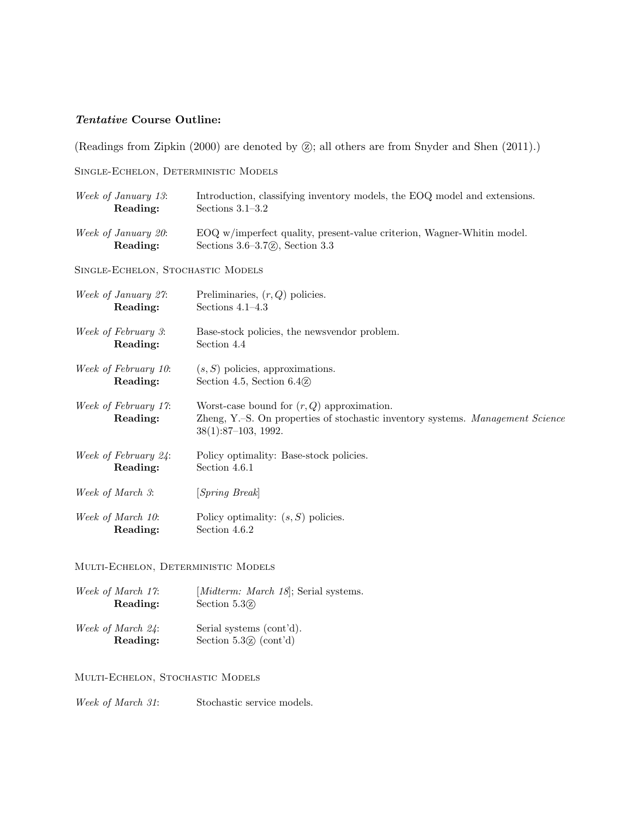# Tentative Course Outline:

(Readings from Zipkin  $(2000)$  are denoted by  $\circled{z}$ ); all others are from Snyder and Shen  $(2011)$ .)

Single-Echelon, Deterministic Models

| Week of January 13:                     | Introduction, classifying inventory models, the EOQ model and extensions.                                                                               |
|-----------------------------------------|---------------------------------------------------------------------------------------------------------------------------------------------------------|
| Reading:                                | Sections $3.1-3.2$                                                                                                                                      |
| Week of January 20:                     | EOQ w/imperfect quality, present-value criterion, Wagner-Whitin model.                                                                                  |
| Reading:                                | Sections $3.6-3.7\textcircled{2}$ , Section 3.3                                                                                                         |
| SINGLE-ECHELON, STOCHASTIC MODELS       |                                                                                                                                                         |
| Week of January 27:                     | Preliminaries, $(r, Q)$ policies.                                                                                                                       |
| Reading:                                | Sections $4.1-4.3$                                                                                                                                      |
| Week of February 3:                     | Base-stock policies, the newsvendor problem.                                                                                                            |
| Reading:                                | Section 4.4                                                                                                                                             |
| Week of February 10:                    | $(s, S)$ policies, approximations.                                                                                                                      |
| Reading:                                | Section 4.5, Section $6.4$ $\Omega$                                                                                                                     |
| <i>Week of February 17:</i><br>Reading: | Worst-case bound for $(r, Q)$ approximation.<br>Zheng, Y.-S. On properties of stochastic inventory systems. Management Science<br>$38(1):87-103, 1992.$ |
| Week of February 24:                    | Policy optimality: Base-stock policies.                                                                                                                 |

Reading: Section 4.6.1

Week of March 3: [Spring Break]

Week of March 10: Policy optimality:  $(s, S)$  policies. Reading: Section 4.6.2

#### Multi-Echelon, Deterministic Models

| Week of March 17: | [ <i>Midterm: March 18</i> ]; Serial systems. |
|-------------------|-----------------------------------------------|
| Reading:          | Section $5.3(z)$                              |
| Week of March 24: | Serial systems (cont'd).                      |

Reading: Section 5.32 (cont'd)

### Multi-Echelon, Stochastic Models

Week of March 31: Stochastic service models.